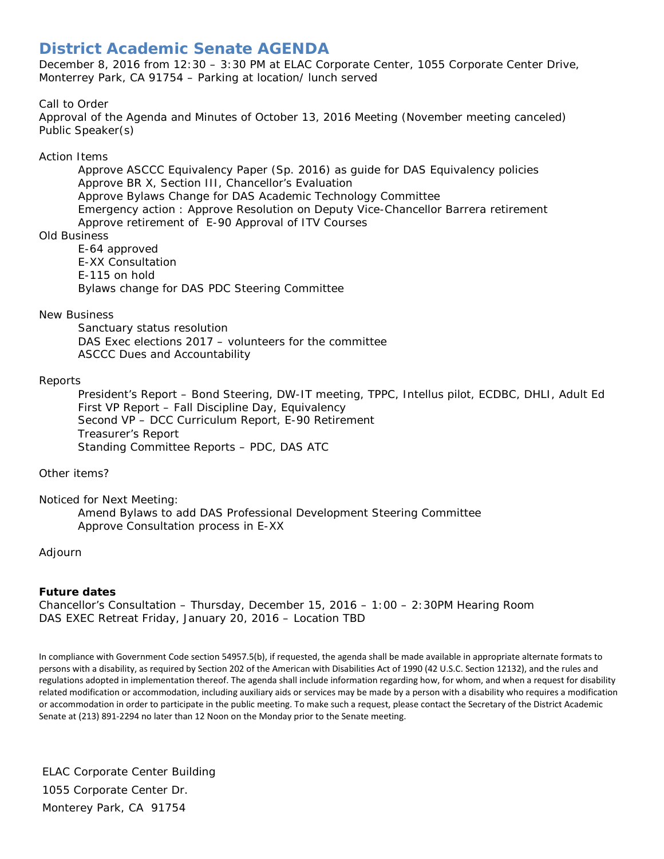# **District Academic Senate AGENDA**

December 8, 2016 from 12:30 – 3:30 PM at ELAC Corporate Center, 1055 Corporate Center Drive, Monterrey Park, CA 91754 – Parking at location/ lunch served

## Call to Order

Approval of the Agenda and Minutes of October 13, 2016 Meeting (November meeting canceled) Public Speaker(s)

#### Action Items

Approve ASCCC Equivalency Paper (Sp. 2016) as guide for DAS Equivalency policies Approve BR X, Section III, Chancellor's Evaluation Approve Bylaws Change for DAS Academic Technology Committee Emergency action : Approve Resolution on Deputy Vice-Chancellor Barrera retirement Approve retirement of E-90 Approval of ITV Courses

#### Old Business

E-64 approved E-XX Consultation E-115 on hold Bylaws change for DAS PDC Steering Committee

## New Business

Sanctuary status resolution DAS Exec elections 2017 – volunteers for the committee ASCCC Dues and Accountability

#### Reports

President's Report – Bond Steering, DW-IT meeting, TPPC, Intellus pilot, ECDBC, DHLI, Adult Ed First VP Report – Fall Discipline Day, Equivalency Second VP – DCC Curriculum Report, E-90 Retirement Treasurer's Report Standing Committee Reports – PDC, DAS ATC

Other items?

Noticed for Next Meeting: Amend Bylaws to add DAS Professional Development Steering Committee Approve Consultation process in E-XX

## Adjourn

## **Future dates**

Chancellor's Consultation – Thursday, December 15, 2016 – 1:00 – 2:30PM Hearing Room *DAS EXEC Retreat Friday, January 20, 2016 – Location TBD*

In compliance with Government Code section 54957.5(b), if requested, the agenda shall be made available in appropriate alternate formats to persons with a disability, as required by Section 202 of the American with Disabilities Act of 1990 (42 U.S.C. Section 12132), and the rules and regulations adopted in implementation thereof. The agenda shall include information regarding how, for whom, and when a request for disability related modification or accommodation, including auxiliary aids or services may be made by a person with a disability who requires a modification or accommodation in order to participate in the public meeting. To make such a request, please contact the Secretary of the District Academic Senate at (213) 891-2294 no later than 12 Noon on the Monday prior to the Senate meeting.

ELAC Corporate Center Building 1055 Corporate Center Dr. Monterey Park, CA 91754